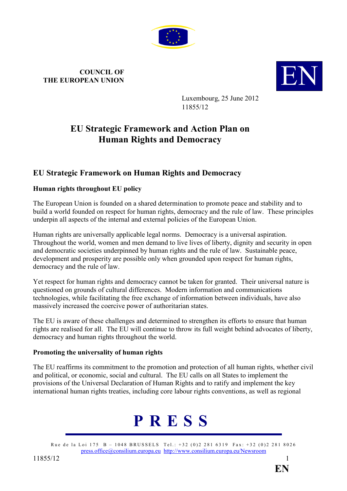

# COUNCIL OF COUNCIL OF COUNCIL OF **EUROPEAN UNION**



Luxembourg, 25 June 2012 11855/12

# EU Strategic Framework and Action Plan on Human Rights and Democracy

# EU Strategic Framework on Human Rights and Democracy

## Human rights throughout EU policy

The European Union is founded on a shared determination to promote peace and stability and to build a world founded on respect for human rights, democracy and the rule of law. These principles underpin all aspects of the internal and external policies of the European Union.

Human rights are universally applicable legal norms. Democracy is a universal aspiration. Throughout the world, women and men demand to live lives of liberty, dignity and security in open and democratic societies underpinned by human rights and the rule of law. Sustainable peace, development and prosperity are possible only when grounded upon respect for human rights, democracy and the rule of law.

Yet respect for human rights and democracy cannot be taken for granted. Their universal nature is questioned on grounds of cultural differences. Modern information and communications technologies, while facilitating the free exchange of information between individuals, have also massively increased the coercive power of authoritarian states.

The EU is aware of these challenges and determined to strengthen its efforts to ensure that human rights are realised for all. The EU will continue to throw its full weight behind advocates of liberty, democracy and human rights throughout the world.

# Promoting the universality of human rights

The EU reaffirms its commitment to the promotion and protection of all human rights, whether civil and political, or economic, social and cultural. The EU calls on all States to implement the provisions of the Universal Declaration of Human Rights and to ratify and implement the key international human rights treaties, including core labour rights conventions, as well as regional



Rue de la Loi 175 B – 1048 BRUSSELS Tel.: +32 (0)2 281 6319 Fax: +32 (0)2 281 8026 press.office@consilium.europa.eu http://www.consilium.europa.eu/Newsroom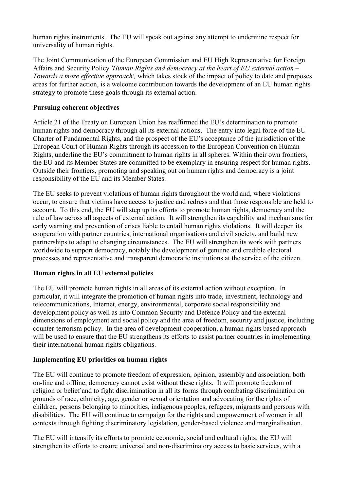human rights instruments. The EU will speak out against any attempt to undermine respect for universality of human rights.

The Joint Communication of the European Commission and EU High Representative for Foreign Affairs and Security Policy 'Human Rights and democracy at the heart of EU external action – Towards a more effective approach', which takes stock of the impact of policy to date and proposes areas for further action, is a welcome contribution towards the development of an EU human rights strategy to promote these goals through its external action.

### Pursuing coherent objectives

Article 21 of the Treaty on European Union has reaffirmed the EU's determination to promote human rights and democracy through all its external actions. The entry into legal force of the EU Charter of Fundamental Rights, and the prospect of the EU's acceptance of the jurisdiction of the European Court of Human Rights through its accession to the European Convention on Human Rights, underline the EU's commitment to human rights in all spheres. Within their own frontiers, the EU and its Member States are committed to be exemplary in ensuring respect for human rights. Outside their frontiers, promoting and speaking out on human rights and democracy is a joint responsibility of the EU and its Member States.

The EU seeks to prevent violations of human rights throughout the world and, where violations occur, to ensure that victims have access to justice and redress and that those responsible are held to account. To this end, the EU will step up its efforts to promote human rights, democracy and the rule of law across all aspects of external action. It will strengthen its capability and mechanisms for early warning and prevention of crises liable to entail human rights violations. It will deepen its cooperation with partner countries, international organisations and civil society, and build new partnerships to adapt to changing circumstances. The EU will strengthen its work with partners worldwide to support democracy, notably the development of genuine and credible electoral processes and representative and transparent democratic institutions at the service of the citizen.

# Human rights in all EU external policies

The EU will promote human rights in all areas of its external action without exception. In particular, it will integrate the promotion of human rights into trade, investment, technology and telecommunications, Internet, energy, environmental, corporate social responsibility and development policy as well as into Common Security and Defence Policy and the external dimensions of employment and social policy and the area of freedom, security and justice, including counter-terrorism policy. In the area of development cooperation, a human rights based approach will be used to ensure that the EU strengthens its efforts to assist partner countries in implementing their international human rights obligations.

### Implementing EU priorities on human rights

The EU will continue to promote freedom of expression, opinion, assembly and association, both on-line and offline; democracy cannot exist without these rights. It will promote freedom of religion or belief and to fight discrimination in all its forms through combating discrimination on grounds of race, ethnicity, age, gender or sexual orientation and advocating for the rights of children, persons belonging to minorities, indigenous peoples, refugees, migrants and persons with disabilities. The EU will continue to campaign for the rights and empowerment of women in all contexts through fighting discriminatory legislation, gender-based violence and marginalisation.

The EU will intensify its efforts to promote economic, social and cultural rights; the EU will strengthen its efforts to ensure universal and non-discriminatory access to basic services, with a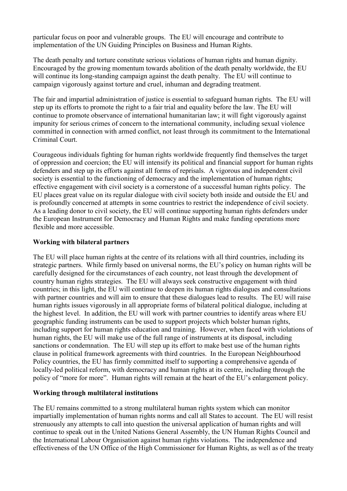particular focus on poor and vulnerable groups. The EU will encourage and contribute to implementation of the UN Guiding Principles on Business and Human Rights.

The death penalty and torture constitute serious violations of human rights and human dignity. Encouraged by the growing momentum towards abolition of the death penalty worldwide, the EU will continue its long-standing campaign against the death penalty. The EU will continue to campaign vigorously against torture and cruel, inhuman and degrading treatment.

The fair and impartial administration of justice is essential to safeguard human rights. The EU will step up its efforts to promote the right to a fair trial and equality before the law. The EU will continue to promote observance of international humanitarian law; it will fight vigorously against impunity for serious crimes of concern to the international community, including sexual violence committed in connection with armed conflict, not least through its commitment to the International Criminal Court.

Courageous individuals fighting for human rights worldwide frequently find themselves the target of oppression and coercion; the EU will intensify its political and financial support for human rights defenders and step up its efforts against all forms of reprisals. A vigorous and independent civil society is essential to the functioning of democracy and the implementation of human rights; effective engagement with civil society is a cornerstone of a successful human rights policy. The EU places great value on its regular dialogue with civil society both inside and outside the EU and is profoundly concerned at attempts in some countries to restrict the independence of civil society. As a leading donor to civil society, the EU will continue supporting human rights defenders under the European Instrument for Democracy and Human Rights and make funding operations more flexible and more accessible.

### Working with bilateral partners

The EU will place human rights at the centre of its relations with all third countries, including its strategic partners. While firmly based on universal norms, the EU's policy on human rights will be carefully designed for the circumstances of each country, not least through the development of country human rights strategies. The EU will always seek constructive engagement with third countries; in this light, the EU will continue to deepen its human rights dialogues and consultations with partner countries and will aim to ensure that these dialogues lead to results. The EU will raise human rights issues vigorously in all appropriate forms of bilateral political dialogue, including at the highest level. In addition, the EU will work with partner countries to identify areas where EU geographic funding instruments can be used to support projects which bolster human rights, including support for human rights education and training. However, when faced with violations of human rights, the EU will make use of the full range of instruments at its disposal, including sanctions or condemnation. The EU will step up its effort to make best use of the human rights clause in political framework agreements with third countries. In the European Neighbourhood Policy countries, the EU has firmly committed itself to supporting a comprehensive agenda of locally-led political reform, with democracy and human rights at its centre, including through the policy of "more for more". Human rights will remain at the heart of the EU's enlargement policy.

#### Working through multilateral institutions

The EU remains committed to a strong multilateral human rights system which can monitor impartially implementation of human rights norms and call all States to account. The EU will resist strenuously any attempts to call into question the universal application of human rights and will continue to speak out in the United Nations General Assembly, the UN Human Rights Council and the International Labour Organisation against human rights violations. The independence and effectiveness of the UN Office of the High Commissioner for Human Rights, as well as of the treaty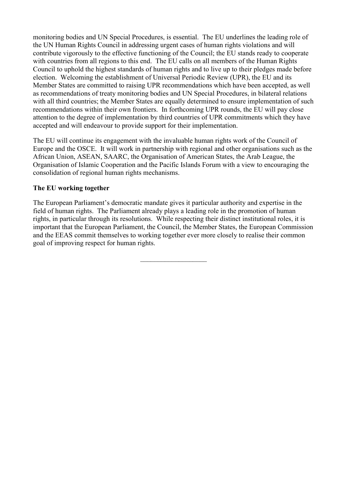monitoring bodies and UN Special Procedures, is essential. The EU underlines the leading role of the UN Human Rights Council in addressing urgent cases of human rights violations and will contribute vigorously to the effective functioning of the Council; the EU stands ready to cooperate with countries from all regions to this end. The EU calls on all members of the Human Rights Council to uphold the highest standards of human rights and to live up to their pledges made before election. Welcoming the establishment of Universal Periodic Review (UPR), the EU and its Member States are committed to raising UPR recommendations which have been accepted, as well as recommendations of treaty monitoring bodies and UN Special Procedures, in bilateral relations with all third countries; the Member States are equally determined to ensure implementation of such recommendations within their own frontiers. In forthcoming UPR rounds, the EU will pay close attention to the degree of implementation by third countries of UPR commitments which they have accepted and will endeavour to provide support for their implementation.

The EU will continue its engagement with the invaluable human rights work of the Council of Europe and the OSCE. It will work in partnership with regional and other organisations such as the African Union, ASEAN, SAARC, the Organisation of American States, the Arab League, the Organisation of Islamic Cooperation and the Pacific Islands Forum with a view to encouraging the consolidation of regional human rights mechanisms.

### The EU working together

The European Parliament's democratic mandate gives it particular authority and expertise in the field of human rights. The Parliament already plays a leading role in the promotion of human rights, in particular through its resolutions. While respecting their distinct institutional roles, it is important that the European Parliament, the Council, the Member States, the European Commission and the EEAS commit themselves to working together ever more closely to realise their common goal of improving respect for human rights.

 $\overline{\phantom{a}}$  , and the set of the set of the set of the set of the set of the set of the set of the set of the set of the set of the set of the set of the set of the set of the set of the set of the set of the set of the s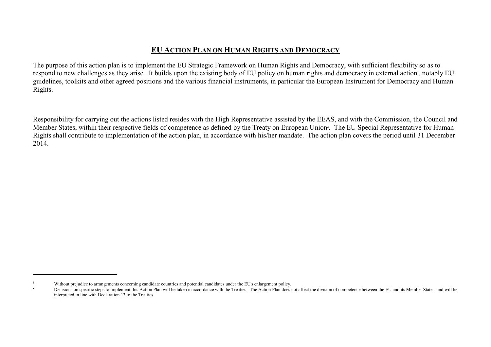# EU <sup>A</sup>CTION PLAN ON HUMAN RIGHTS AND DEMOCRACY

The purpose of this action plan is to implement the EU Strategic Framework on Human Rights and Democracy, with sufficient flexibility so as to respond to new challenges as they arise. It builds upon the existing body of EU policy on human rights and democracy in external action<sup>1</sup>, notably EU guidelines, toolkits and other agreed positions and the various financial instruments, in particular the European Instrument for Democracy and Human Rights.

Responsibility for carrying out the actions listed resides with the High Representative assisted by the EEAS, and with the Commission, the Council and Member States, within their respective fields of competence as defined by the Treaty on European Union<sup>2</sup>. The EU Special Representative for Human Rights shall contribute to implementation of the action plan, in accordance with his/her mandate. The action plan covers the period until 31 December 2014.

<sup>&</sup>lt;sup>1</sup> Without prejudice to arrangements concerning candidate countries and potential candidates under the EU's enlargement policy.

 $2<sup>2</sup>$  Decisions on specific steps to implement this Action Plan will be taken in accordance with the Treaties. The Action Plan does not affect the division of competence between the EU and its Member States, and will interpreted in line with Declaration 13 to the Treaties.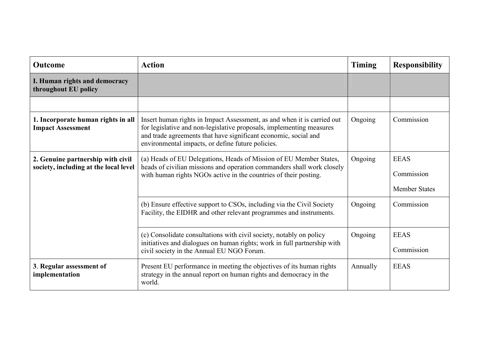| <b>Outcome</b>                                                             | <b>Action</b>                                                                                                                                                                                                                                                           | <b>Timing</b> | <b>Responsibility</b>                             |
|----------------------------------------------------------------------------|-------------------------------------------------------------------------------------------------------------------------------------------------------------------------------------------------------------------------------------------------------------------------|---------------|---------------------------------------------------|
| I. Human rights and democracy<br>throughout EU policy                      |                                                                                                                                                                                                                                                                         |               |                                                   |
|                                                                            |                                                                                                                                                                                                                                                                         |               |                                                   |
| 1. Incorporate human rights in all<br><b>Impact Assessment</b>             | Insert human rights in Impact Assessment, as and when it is carried out<br>for legislative and non-legislative proposals, implementing measures<br>and trade agreements that have significant economic, social and<br>environmental impacts, or define future policies. | Ongoing       | Commission                                        |
| 2. Genuine partnership with civil<br>society, including at the local level | (a) Heads of EU Delegations, Heads of Mission of EU Member States,<br>heads of civilian missions and operation commanders shall work closely<br>with human rights NGOs active in the countries of their posting.                                                        | Ongoing       | <b>EEAS</b><br>Commission<br><b>Member States</b> |
|                                                                            | (b) Ensure effective support to CSOs, including via the Civil Society<br>Facility, the EIDHR and other relevant programmes and instruments.                                                                                                                             | Ongoing       | Commission                                        |
|                                                                            | (c) Consolidate consultations with civil society, notably on policy<br>initiatives and dialogues on human rights; work in full partnership with<br>civil society in the Annual EU NGO Forum.                                                                            | Ongoing       | <b>EEAS</b><br>Commission                         |
| 3. Regular assessment of<br>implementation                                 | Present EU performance in meeting the objectives of its human rights<br>strategy in the annual report on human rights and democracy in the<br>world.                                                                                                                    | Annually      | <b>EEAS</b>                                       |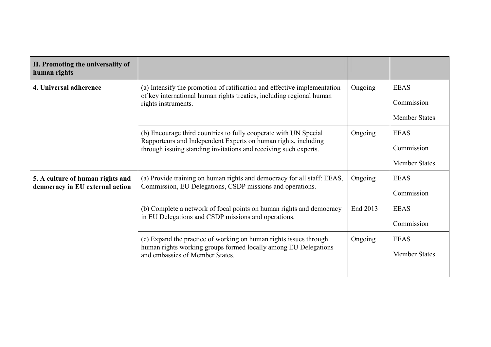| II. Promoting the universality of<br>human rights                   |                                                                                                                                                                                                        |          |                                                   |
|---------------------------------------------------------------------|--------------------------------------------------------------------------------------------------------------------------------------------------------------------------------------------------------|----------|---------------------------------------------------|
| 4. Universal adherence                                              | (a) Intensify the promotion of ratification and effective implementation<br>of key international human rights treaties, including regional human<br>rights instruments.                                | Ongoing  | <b>EEAS</b><br>Commission<br><b>Member States</b> |
|                                                                     | (b) Encourage third countries to fully cooperate with UN Special<br>Rapporteurs and Independent Experts on human rights, including<br>through issuing standing invitations and receiving such experts. | Ongoing  | <b>EEAS</b><br>Commission<br><b>Member States</b> |
| 5. A culture of human rights and<br>democracy in EU external action | (a) Provide training on human rights and democracy for all staff: EEAS,<br>Commission, EU Delegations, CSDP missions and operations.                                                                   | Ongoing  | <b>EEAS</b><br>Commission                         |
|                                                                     | (b) Complete a network of focal points on human rights and democracy<br>in EU Delegations and CSDP missions and operations.                                                                            | End 2013 | <b>EEAS</b><br>Commission                         |
|                                                                     | (c) Expand the practice of working on human rights issues through<br>human rights working groups formed locally among EU Delegations<br>and embassies of Member States.                                | Ongoing  | <b>EEAS</b><br><b>Member States</b>               |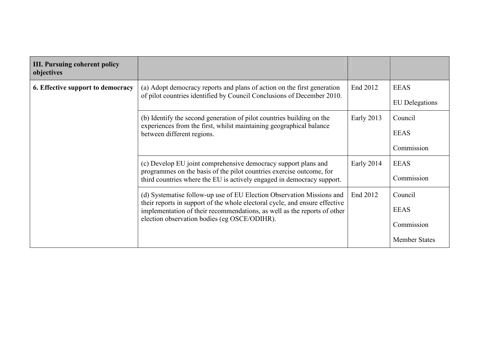| <b>III. Pursuing coherent policy</b><br>objectives |                                                                                                                                                         |            |                       |
|----------------------------------------------------|---------------------------------------------------------------------------------------------------------------------------------------------------------|------------|-----------------------|
| 6. Effective support to democracy                  | (a) Adopt democracy reports and plans of action on the first generation                                                                                 | End 2012   | <b>EEAS</b>           |
|                                                    | of pilot countries identified by Council Conclusions of December 2010.                                                                                  |            | <b>EU</b> Delegations |
|                                                    | (b) Identify the second generation of pilot countries building on the                                                                                   | Early 2013 | Council               |
|                                                    | experiences from the first, whilst maintaining geographical balance<br>between different regions.                                                       |            | <b>EEAS</b>           |
|                                                    |                                                                                                                                                         |            | Commission            |
|                                                    | (c) Develop EU joint comprehensive democracy support plans and                                                                                          | Early 2014 | <b>EEAS</b>           |
|                                                    | programmes on the basis of the pilot countries exercise outcome, for<br>third countries where the EU is actively engaged in democracy support.          |            | Commission            |
|                                                    | (d) Systematise follow-up use of EU Election Observation Missions and                                                                                   | End 2012   | Council               |
|                                                    | their reports in support of the whole electoral cycle, and ensure effective<br>implementation of their recommendations, as well as the reports of other |            | <b>EEAS</b>           |
|                                                    | election observation bodies (eg OSCE/ODIHR).                                                                                                            |            | Commission            |
|                                                    |                                                                                                                                                         |            | <b>Member States</b>  |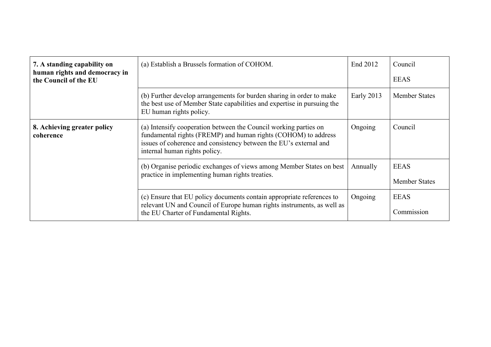| 7. A standing capability on<br>human rights and democracy in<br>the Council of the EU | (a) Establish a Brussels formation of COHOM.                                                                                                                                                                                             | End 2012   | Council<br><b>EEAS</b>              |
|---------------------------------------------------------------------------------------|------------------------------------------------------------------------------------------------------------------------------------------------------------------------------------------------------------------------------------------|------------|-------------------------------------|
|                                                                                       | (b) Further develop arrangements for burden sharing in order to make<br>the best use of Member State capabilities and expertise in pursuing the<br>EU human rights policy.                                                               | Early 2013 | <b>Member States</b>                |
| 8. Achieving greater policy<br>coherence                                              | (a) Intensify cooperation between the Council working parties on<br>fundamental rights (FREMP) and human rights (COHOM) to address<br>issues of coherence and consistency between the EU's external and<br>internal human rights policy. | Ongoing    | Council                             |
|                                                                                       | (b) Organise periodic exchanges of views among Member States on best<br>practice in implementing human rights treaties.                                                                                                                  | Annually   | <b>EEAS</b><br><b>Member States</b> |
|                                                                                       | (c) Ensure that EU policy documents contain appropriate references to<br>relevant UN and Council of Europe human rights instruments, as well as<br>the EU Charter of Fundamental Rights.                                                 | Ongoing    | <b>EEAS</b><br>Commission           |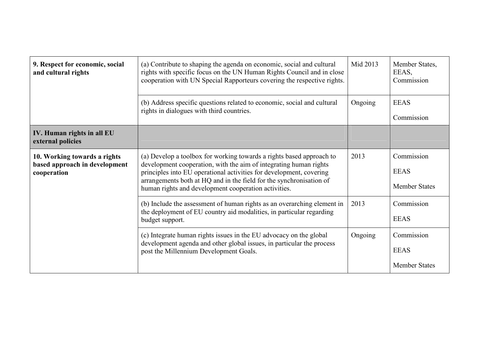| 9. Respect for economic, social<br>and cultural rights                       | (a) Contribute to shaping the agenda on economic, social and cultural<br>rights with specific focus on the UN Human Rights Council and in close<br>cooperation with UN Special Rapporteurs covering the respective rights.                                                                                                                      | Mid 2013 | Member States,<br>EEAS,<br>Commission             |
|------------------------------------------------------------------------------|-------------------------------------------------------------------------------------------------------------------------------------------------------------------------------------------------------------------------------------------------------------------------------------------------------------------------------------------------|----------|---------------------------------------------------|
|                                                                              | (b) Address specific questions related to economic, social and cultural<br>rights in dialogues with third countries.                                                                                                                                                                                                                            | Ongoing  | <b>EEAS</b><br>Commission                         |
| IV. Human rights in all EU<br>external policies                              |                                                                                                                                                                                                                                                                                                                                                 |          |                                                   |
| 10. Working towards a rights<br>based approach in development<br>cooperation | (a) Develop a toolbox for working towards a rights based approach to<br>development cooperation, with the aim of integrating human rights<br>principles into EU operational activities for development, covering<br>arrangements both at HQ and in the field for the synchronisation of<br>human rights and development cooperation activities. | 2013     | Commission<br><b>EEAS</b><br><b>Member States</b> |
|                                                                              | (b) Include the assessment of human rights as an overarching element in<br>the deployment of EU country aid modalities, in particular regarding<br>budget support.                                                                                                                                                                              | 2013     | Commission<br><b>EEAS</b>                         |
|                                                                              | (c) Integrate human rights issues in the EU advocacy on the global<br>development agenda and other global issues, in particular the process<br>post the Millennium Development Goals.                                                                                                                                                           | Ongoing  | Commission<br><b>EEAS</b><br><b>Member States</b> |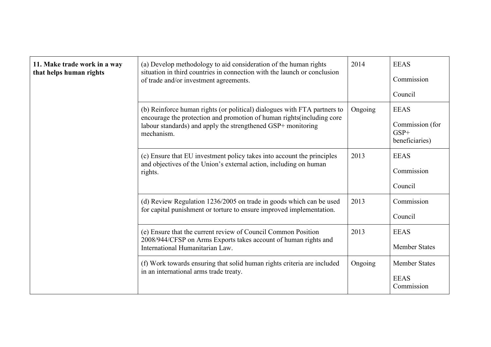| 11. Make trade work in a way<br>that helps human rights | (a) Develop methodology to aid consideration of the human rights<br>situation in third countries in connection with the launch or conclusion<br>of trade and/or investment agreements.                                           | 2014    | <b>EEAS</b><br>Commission<br>Council                       |
|---------------------------------------------------------|----------------------------------------------------------------------------------------------------------------------------------------------------------------------------------------------------------------------------------|---------|------------------------------------------------------------|
|                                                         | (b) Reinforce human rights (or political) dialogues with FTA partners to<br>encourage the protection and promotion of human rights (including core<br>labour standards) and apply the strengthened GSP+ monitoring<br>mechanism. | Ongoing | <b>EEAS</b><br>Commission (for<br>$GSP+$<br>beneficiaries) |
|                                                         | (c) Ensure that EU investment policy takes into account the principles<br>and objectives of the Union's external action, including on human<br>rights.                                                                           | 2013    | <b>EEAS</b><br>Commission<br>Council                       |
|                                                         | (d) Review Regulation 1236/2005 on trade in goods which can be used<br>for capital punishment or torture to ensure improved implementation.                                                                                      | 2013    | Commission<br>Council                                      |
|                                                         | (e) Ensure that the current review of Council Common Position<br>2008/944/CFSP on Arms Exports takes account of human rights and<br>International Humanitarian Law.                                                              | 2013    | <b>EEAS</b><br><b>Member States</b>                        |
|                                                         | (f) Work towards ensuring that solid human rights criteria are included<br>in an international arms trade treaty.                                                                                                                | Ongoing | <b>Member States</b><br><b>EEAS</b><br>Commission          |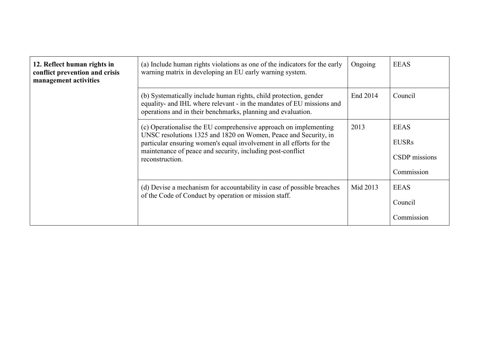| 12. Reflect human rights in<br>conflict prevention and crisis<br>management activities | (a) Include human rights violations as one of the indicators for the early<br>warning matrix in developing an EU early warning system.                                                                                                                                                       | Ongoing  | <b>EEAS</b>                                                |
|----------------------------------------------------------------------------------------|----------------------------------------------------------------------------------------------------------------------------------------------------------------------------------------------------------------------------------------------------------------------------------------------|----------|------------------------------------------------------------|
|                                                                                        | (b) Systematically include human rights, child protection, gender<br>equality- and IHL where relevant - in the mandates of EU missions and<br>operations and in their benchmarks, planning and evaluation.                                                                                   | End 2014 | Council                                                    |
|                                                                                        | (c) Operationalise the EU comprehensive approach on implementing<br>UNSC resolutions 1325 and 1820 on Women, Peace and Security, in<br>particular ensuring women's equal involvement in all efforts for the<br>maintenance of peace and security, including post-conflict<br>reconstruction. | 2013     | <b>EEAS</b><br><b>EUSRs</b><br>CSDP missions<br>Commission |
|                                                                                        | (d) Devise a mechanism for accountability in case of possible breaches<br>of the Code of Conduct by operation or mission staff.                                                                                                                                                              | Mid 2013 | <b>EEAS</b><br>Council<br>Commission                       |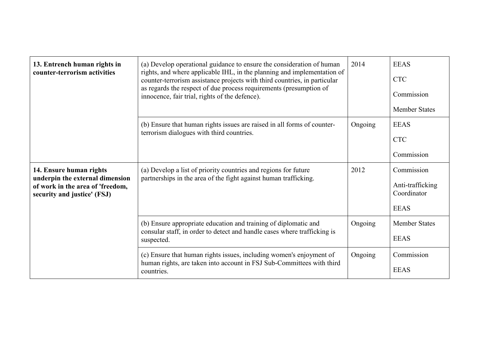| 13. Entrench human rights in<br>counter-terrorism activities                                                                  | (a) Develop operational guidance to ensure the consideration of human<br>rights, and where applicable IHL, in the planning and implementation of<br>counter-terrorism assistance projects with third countries, in particular<br>as regards the respect of due process requirements (presumption of<br>innocence, fair trial, rights of the defence). | 2014    | <b>EEAS</b><br><b>CTC</b><br>Commission<br><b>Member States</b> |
|-------------------------------------------------------------------------------------------------------------------------------|-------------------------------------------------------------------------------------------------------------------------------------------------------------------------------------------------------------------------------------------------------------------------------------------------------------------------------------------------------|---------|-----------------------------------------------------------------|
|                                                                                                                               | (b) Ensure that human rights issues are raised in all forms of counter-<br>terrorism dialogues with third countries.                                                                                                                                                                                                                                  | Ongoing | <b>EEAS</b><br><b>CTC</b><br>Commission                         |
| 14. Ensure human rights<br>underpin the external dimension<br>of work in the area of 'freedom,<br>security and justice' (FSJ) | (a) Develop a list of priority countries and regions for future<br>partnerships in the area of the fight against human trafficking.                                                                                                                                                                                                                   | 2012    | Commission<br>Anti-trafficking<br>Coordinator<br><b>EEAS</b>    |
|                                                                                                                               | (b) Ensure appropriate education and training of diplomatic and<br>consular staff, in order to detect and handle cases where trafficking is<br>suspected.                                                                                                                                                                                             | Ongoing | <b>Member States</b><br><b>EEAS</b>                             |
|                                                                                                                               | (c) Ensure that human rights issues, including women's enjoyment of<br>human rights, are taken into account in FSJ Sub-Committees with third<br>countries.                                                                                                                                                                                            | Ongoing | Commission<br><b>EEAS</b>                                       |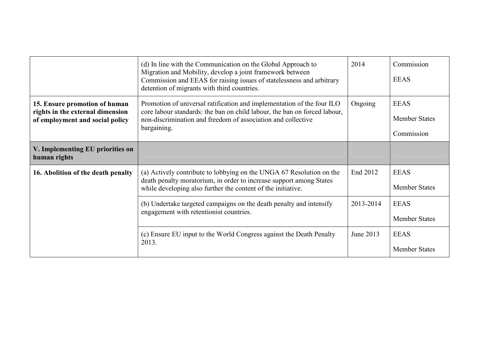|                                                                                                      | (d) In line with the Communication on the Global Approach to<br>Migration and Mobility, develop a joint framework between<br>Commission and EEAS for raising issues of statelessness and arbitrary<br>detention of migrants with third countries. | 2014      | Commission<br><b>EEAS</b>                         |
|------------------------------------------------------------------------------------------------------|---------------------------------------------------------------------------------------------------------------------------------------------------------------------------------------------------------------------------------------------------|-----------|---------------------------------------------------|
| 15. Ensure promotion of human<br>rights in the external dimension<br>of employment and social policy | Promotion of universal ratification and implementation of the four ILO<br>core labour standards: the ban on child labour, the ban on forced labour,<br>non-discrimination and freedom of association and collective<br>bargaining.                | Ongoing   | <b>EEAS</b><br><b>Member States</b><br>Commission |
| V. Implementing EU priorities on<br>human rights                                                     |                                                                                                                                                                                                                                                   |           |                                                   |
| 16. Abolition of the death penalty                                                                   | (a) Actively contribute to lobbying on the UNGA 67 Resolution on the<br>death penalty moratorium, in order to increase support among States<br>while developing also further the content of the initiative.                                       | End 2012  | <b>EEAS</b><br><b>Member States</b>               |
|                                                                                                      | (b) Undertake targeted campaigns on the death penalty and intensify<br>engagement with retentionist countries.                                                                                                                                    | 2013-2014 | <b>EEAS</b><br><b>Member States</b>               |
|                                                                                                      | (c) Ensure EU input to the World Congress against the Death Penalty<br>2013.                                                                                                                                                                      | June 2013 | <b>EEAS</b><br><b>Member States</b>               |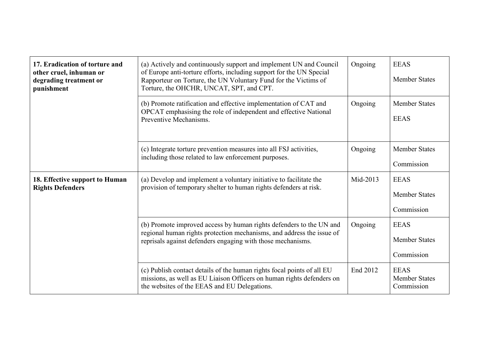| 17. Eradication of torture and<br>other cruel, inhuman or<br>degrading treatment or<br>punishment | (a) Actively and continuously support and implement UN and Council<br>of Europe anti-torture efforts, including support for the UN Special<br>Rapporteur on Torture, the UN Voluntary Fund for the Victims of<br>Torture, the OHCHR, UNCAT, SPT, and CPT. | Ongoing  | <b>EEAS</b><br><b>Member States</b>               |
|---------------------------------------------------------------------------------------------------|-----------------------------------------------------------------------------------------------------------------------------------------------------------------------------------------------------------------------------------------------------------|----------|---------------------------------------------------|
|                                                                                                   | (b) Promote ratification and effective implementation of CAT and<br>OPCAT emphasising the role of independent and effective National<br>Preventive Mechanisms.                                                                                            | Ongoing  | <b>Member States</b><br><b>EEAS</b>               |
|                                                                                                   | (c) Integrate torture prevention measures into all FSJ activities,<br>including those related to law enforcement purposes.                                                                                                                                | Ongoing  | <b>Member States</b><br>Commission                |
| 18. Effective support to Human<br><b>Rights Defenders</b>                                         | (a) Develop and implement a voluntary initiative to facilitate the<br>provision of temporary shelter to human rights defenders at risk.                                                                                                                   | Mid-2013 | <b>EEAS</b><br><b>Member States</b><br>Commission |
|                                                                                                   | (b) Promote improved access by human rights defenders to the UN and<br>regional human rights protection mechanisms, and address the issue of<br>reprisals against defenders engaging with those mechanisms.                                               | Ongoing  | <b>EEAS</b><br><b>Member States</b><br>Commission |
|                                                                                                   | (c) Publish contact details of the human rights focal points of all EU<br>missions, as well as EU Liaison Officers on human rights defenders on<br>the websites of the EEAS and EU Delegations.                                                           | End 2012 | <b>EEAS</b><br><b>Member States</b><br>Commission |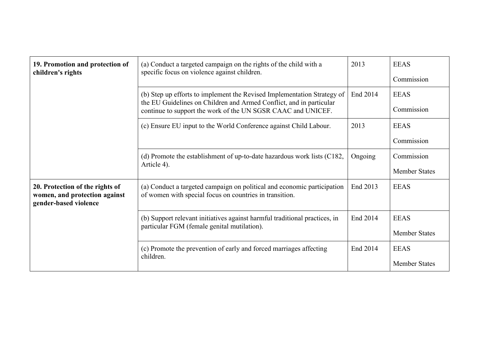| 19. Promotion and protection of<br>children's rights                                      | (a) Conduct a targeted campaign on the rights of the child with a<br>specific focus on violence against children.                                                                                              | 2013     | <b>EEAS</b><br>Commission           |
|-------------------------------------------------------------------------------------------|----------------------------------------------------------------------------------------------------------------------------------------------------------------------------------------------------------------|----------|-------------------------------------|
|                                                                                           | (b) Step up efforts to implement the Revised Implementation Strategy of<br>the EU Guidelines on Children and Armed Conflict, and in particular<br>continue to support the work of the UN SGSR CAAC and UNICEF. | End 2014 | <b>EEAS</b><br>Commission           |
|                                                                                           | (c) Ensure EU input to the World Conference against Child Labour.                                                                                                                                              | 2013     | <b>EEAS</b><br>Commission           |
|                                                                                           | (d) Promote the establishment of up-to-date hazardous work lists $(C182,$<br>Article 4).                                                                                                                       | Ongoing  | Commission<br><b>Member States</b>  |
| 20. Protection of the rights of<br>women, and protection against<br>gender-based violence | (a) Conduct a targeted campaign on political and economic participation<br>of women with special focus on countries in transition.                                                                             | End 2013 | <b>EEAS</b>                         |
|                                                                                           | (b) Support relevant initiatives against harmful traditional practices, in<br>particular FGM (female genital mutilation).                                                                                      | End 2014 | <b>EEAS</b><br><b>Member States</b> |
|                                                                                           | (c) Promote the prevention of early and forced marriages affecting<br>children.                                                                                                                                | End 2014 | <b>EEAS</b><br><b>Member States</b> |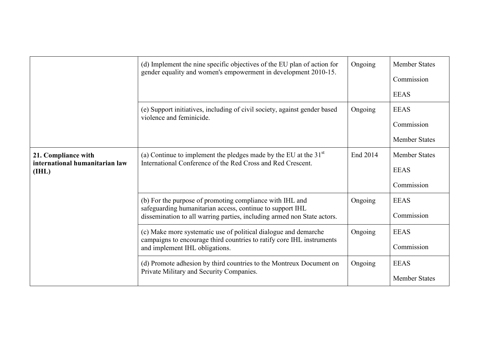|                                                                | (d) Implement the nine specific objectives of the EU plan of action for<br>gender equality and women's empowerment in development 2010-15.                                                       | Ongoing  | <b>Member States</b><br>Commission<br><b>EEAS</b> |
|----------------------------------------------------------------|--------------------------------------------------------------------------------------------------------------------------------------------------------------------------------------------------|----------|---------------------------------------------------|
|                                                                | (e) Support initiatives, including of civil society, against gender based<br>violence and feminicide.                                                                                            | Ongoing  | <b>EEAS</b><br>Commission<br><b>Member States</b> |
| 21. Compliance with<br>international humanitarian law<br>(HIL) | (a) Continue to implement the pledges made by the EU at the $31st$<br>International Conference of the Red Cross and Red Crescent.                                                                | End 2014 | <b>Member States</b><br><b>EEAS</b><br>Commission |
|                                                                | (b) For the purpose of promoting compliance with IHL and<br>safeguarding humanitarian access, continue to support IHL<br>dissemination to all warring parties, including armed non State actors. | Ongoing  | <b>EEAS</b><br>Commission                         |
|                                                                | (c) Make more systematic use of political dialogue and demarche<br>campaigns to encourage third countries to ratify core IHL instruments<br>and implement IHL obligations.                       | Ongoing  | <b>EEAS</b><br>Commission                         |
|                                                                | (d) Promote adhesion by third countries to the Montreux Document on<br>Private Military and Security Companies.                                                                                  | Ongoing  | <b>EEAS</b><br><b>Member States</b>               |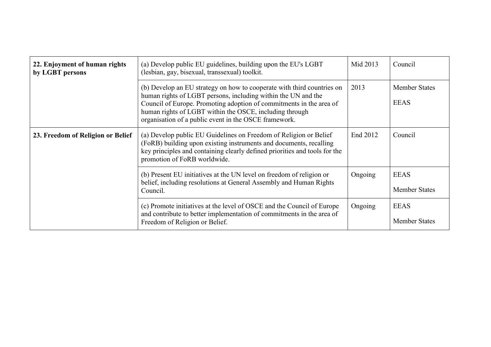| 22. Enjoyment of human rights<br>by LGBT persons | (a) Develop public EU guidelines, building upon the EU's LGBT<br>(lesbian, gay, bisexual, transsexual) toolkit.                                                                                                                                                                                                                    | Mid 2013 | Council                             |
|--------------------------------------------------|------------------------------------------------------------------------------------------------------------------------------------------------------------------------------------------------------------------------------------------------------------------------------------------------------------------------------------|----------|-------------------------------------|
|                                                  | (b) Develop an EU strategy on how to cooperate with third countries on<br>human rights of LGBT persons, including within the UN and the<br>Council of Europe. Promoting adoption of commitments in the area of<br>human rights of LGBT within the OSCE, including through<br>organisation of a public event in the OSCE framework. | 2013     | <b>Member States</b><br><b>EEAS</b> |
| 23. Freedom of Religion or Belief                | (a) Develop public EU Guidelines on Freedom of Religion or Belief<br>(FoRB) building upon existing instruments and documents, recalling<br>key principles and containing clearly defined priorities and tools for the<br>promotion of FoRB worldwide.                                                                              | End 2012 | Council                             |
|                                                  | (b) Present EU initiatives at the UN level on freedom of religion or<br>belief, including resolutions at General Assembly and Human Rights<br>Council.                                                                                                                                                                             | Ongoing  | <b>EEAS</b><br><b>Member States</b> |
|                                                  | (c) Promote initiatives at the level of OSCE and the Council of Europe<br>and contribute to better implementation of commitments in the area of<br>Freedom of Religion or Belief.                                                                                                                                                  | Ongoing  | <b>EEAS</b><br><b>Member States</b> |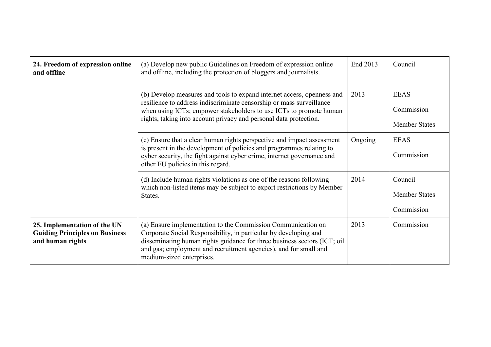| 24. Freedom of expression online<br>and offline                                           | (a) Develop new public Guidelines on Freedom of expression online<br>and offline, including the protection of bloggers and journalists.                                                                                                                                                                       | End 2013 | Council                                           |
|-------------------------------------------------------------------------------------------|---------------------------------------------------------------------------------------------------------------------------------------------------------------------------------------------------------------------------------------------------------------------------------------------------------------|----------|---------------------------------------------------|
|                                                                                           | (b) Develop measures and tools to expand internet access, openness and<br>resilience to address indiscriminate censorship or mass surveillance<br>when using ICTs; empower stakeholders to use ICTs to promote human<br>rights, taking into account privacy and personal data protection.                     | 2013     | <b>EEAS</b><br>Commission<br><b>Member States</b> |
|                                                                                           | (c) Ensure that a clear human rights perspective and impact assessment<br>is present in the development of policies and programmes relating to<br>cyber security, the fight against cyber crime, internet governance and<br>other EU policies in this regard.                                                 | Ongoing  | <b>EEAS</b><br>Commission                         |
|                                                                                           | (d) Include human rights violations as one of the reasons following<br>which non-listed items may be subject to export restrictions by Member<br>States.                                                                                                                                                      | 2014     | Council<br><b>Member States</b><br>Commission     |
| 25. Implementation of the UN<br><b>Guiding Principles on Business</b><br>and human rights | (a) Ensure implementation to the Commission Communication on<br>Corporate Social Responsibility, in particular by developing and<br>disseminating human rights guidance for three business sectors (ICT; oil<br>and gas; employment and recruitment agencies), and for small and<br>medium-sized enterprises. | 2013     | Commission                                        |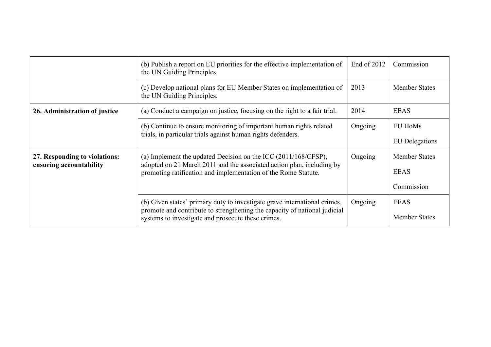|                                                          | (b) Publish a report on EU priorities for the effective implementation of<br>the UN Guiding Principles.                                                | End of $2012$ | Commission            |
|----------------------------------------------------------|--------------------------------------------------------------------------------------------------------------------------------------------------------|---------------|-----------------------|
|                                                          | (c) Develop national plans for EU Member States on implementation of<br>the UN Guiding Principles.                                                     | 2013          | <b>Member States</b>  |
| 26. Administration of justice                            | (a) Conduct a campaign on justice, focusing on the right to a fair trial.                                                                              | 2014          | <b>EEAS</b>           |
|                                                          | (b) Continue to ensure monitoring of important human rights related                                                                                    | Ongoing       | EU HoMs               |
|                                                          | trials, in particular trials against human rights defenders.                                                                                           |               | <b>EU</b> Delegations |
| 27. Responding to violations:<br>ensuring accountability | (a) Implement the updated Decision on the ICC $(2011/168/CFSP)$ ,<br>adopted on 21 March 2011 and the associated action plan, including by             | Ongoing       | <b>Member States</b>  |
|                                                          | promoting ratification and implementation of the Rome Statute.                                                                                         |               | <b>EEAS</b>           |
|                                                          |                                                                                                                                                        |               | Commission            |
|                                                          | (b) Given states' primary duty to investigate grave international crimes,<br>promote and contribute to strengthening the capacity of national judicial | Ongoing       | <b>EEAS</b>           |
|                                                          | systems to investigate and prosecute these crimes.                                                                                                     |               | <b>Member States</b>  |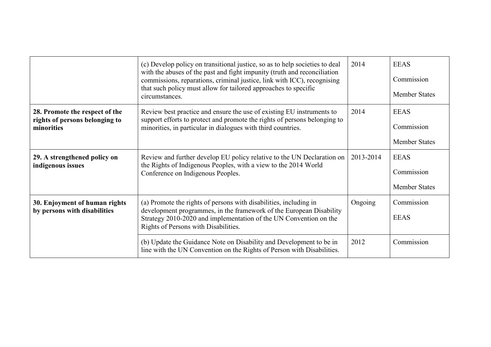|                                                                                | (c) Develop policy on transitional justice, so as to help societies to deal<br>with the abuses of the past and fight impunity (truth and reconciliation<br>commissions, reparations, criminal justice, link with ICC), recognising<br>that such policy must allow for tailored approaches to specific<br>circumstances. | 2014      | <b>EEAS</b><br>Commission<br><b>Member States</b> |
|--------------------------------------------------------------------------------|-------------------------------------------------------------------------------------------------------------------------------------------------------------------------------------------------------------------------------------------------------------------------------------------------------------------------|-----------|---------------------------------------------------|
| 28. Promote the respect of the<br>rights of persons belonging to<br>minorities | Review best practice and ensure the use of existing EU instruments to<br>support efforts to protect and promote the rights of persons belonging to<br>minorities, in particular in dialogues with third countries.                                                                                                      | 2014      | <b>EEAS</b><br>Commission<br><b>Member States</b> |
| 29. A strengthened policy on<br>indigenous issues                              | Review and further develop EU policy relative to the UN Declaration on<br>the Rights of Indigenous Peoples, with a view to the 2014 World<br>Conference on Indigenous Peoples.                                                                                                                                          | 2013-2014 | <b>EEAS</b><br>Commission<br><b>Member States</b> |
| 30. Enjoyment of human rights<br>by persons with disabilities                  | (a) Promote the rights of persons with disabilities, including in<br>development programmes, in the framework of the European Disability<br>Strategy 2010-2020 and implementation of the UN Convention on the<br>Rights of Persons with Disabilities.                                                                   | Ongoing   | Commission<br><b>EEAS</b>                         |
|                                                                                | (b) Update the Guidance Note on Disability and Development to be in<br>line with the UN Convention on the Rights of Person with Disabilities.                                                                                                                                                                           | 2012      | Commission                                        |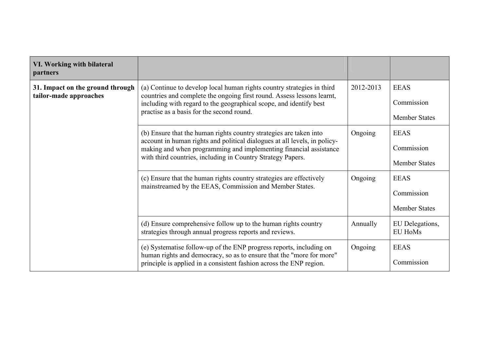| VI. Working with bilateral<br>partners                     |                                                                                                                                                                                                                                                                                     |           |                                                   |
|------------------------------------------------------------|-------------------------------------------------------------------------------------------------------------------------------------------------------------------------------------------------------------------------------------------------------------------------------------|-----------|---------------------------------------------------|
| 31. Impact on the ground through<br>tailor-made approaches | (a) Continue to develop local human rights country strategies in third<br>countries and complete the ongoing first round. Assess lessons learnt,<br>including with regard to the geographical scope, and identify best<br>practise as a basis for the second round.                 | 2012-2013 | <b>EEAS</b><br>Commission<br><b>Member States</b> |
|                                                            | (b) Ensure that the human rights country strategies are taken into<br>account in human rights and political dialogues at all levels, in policy-<br>making and when programming and implementing financial assistance<br>with third countries, including in Country Strategy Papers. | Ongoing   | <b>EEAS</b><br>Commission<br><b>Member States</b> |
|                                                            | (c) Ensure that the human rights country strategies are effectively<br>mainstreamed by the EEAS, Commission and Member States.                                                                                                                                                      | Ongoing   | <b>EEAS</b><br>Commission<br><b>Member States</b> |
|                                                            | (d) Ensure comprehensive follow up to the human rights country<br>strategies through annual progress reports and reviews.                                                                                                                                                           | Annually  | EU Delegations,<br><b>EU HoMs</b>                 |
|                                                            | (e) Systematise follow-up of the ENP progress reports, including on<br>human rights and democracy, so as to ensure that the "more for more"<br>principle is applied in a consistent fashion across the ENP region.                                                                  | Ongoing   | <b>EEAS</b><br>Commission                         |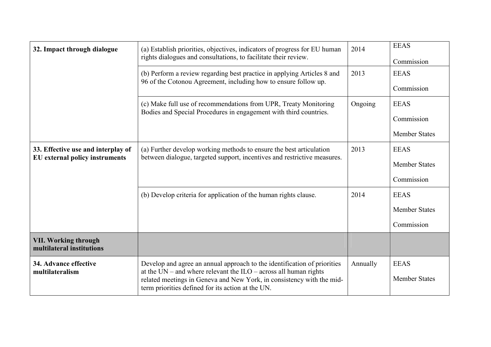| 32. Impact through dialogue                                                 | (a) Establish priorities, objectives, indicators of progress for EU human<br>rights dialogues and consultations, to facilitate their review.                                                                                                                                   | 2014     | <b>EEAS</b><br>Commission                         |
|-----------------------------------------------------------------------------|--------------------------------------------------------------------------------------------------------------------------------------------------------------------------------------------------------------------------------------------------------------------------------|----------|---------------------------------------------------|
|                                                                             | (b) Perform a review regarding best practice in applying Articles 8 and<br>96 of the Cotonou Agreement, including how to ensure follow up.                                                                                                                                     | 2013     | <b>EEAS</b><br>Commission                         |
|                                                                             | (c) Make full use of recommendations from UPR, Treaty Monitoring<br>Bodies and Special Procedures in engagement with third countries.                                                                                                                                          | Ongoing  | <b>EEAS</b><br>Commission<br><b>Member States</b> |
| 33. Effective use and interplay of<br><b>EU</b> external policy instruments | (a) Further develop working methods to ensure the best articulation<br>between dialogue, targeted support, incentives and restrictive measures.                                                                                                                                | 2013     | <b>EEAS</b><br><b>Member States</b><br>Commission |
|                                                                             | (b) Develop criteria for application of the human rights clause.                                                                                                                                                                                                               | 2014     | <b>EEAS</b><br><b>Member States</b><br>Commission |
| <b>VII. Working through</b><br>multilateral institutions                    |                                                                                                                                                                                                                                                                                |          |                                                   |
| 34. Advance effective<br>multilateralism                                    | Develop and agree an annual approach to the identification of priorities<br>at the $UN$ – and where relevant the $ILO$ – across all human rights<br>related meetings in Geneva and New York, in consistency with the mid-<br>term priorities defined for its action at the UN. | Annually | <b>EEAS</b><br><b>Member States</b>               |